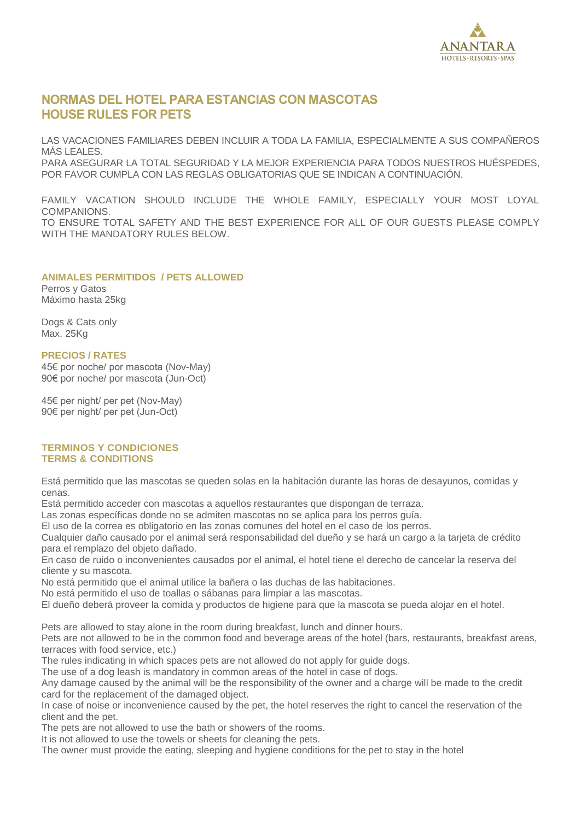

# **NORMAS DEL HOTEL PARA ESTANCIAS CON MASCOTAS HOUSE RULES FOR PETS**

LAS VACACIONES FAMILIARES DEBEN INCLUIR A TODA LA FAMILIA, ESPECIALMENTE A SUS COMPAÑEROS MÁS LEALES. PARA ASEGURAR LA TOTAL SEGURIDAD Y LA MEJOR EXPERIENCIA PARA TODOS NUESTROS HUÉSPEDES, POR FAVOR CUMPLA CON LAS REGLAS OBLIGATORIAS QUE SE INDICAN A CONTINUACIÓN.

FAMILY VACATION SHOULD INCLUDE THE WHOLE FAMILY, ESPECIALLY YOUR MOST LOYAL COMPANIONS. TO ENSURE TOTAL SAFETY AND THE BEST EXPERIENCE FOR ALL OF OUR GUESTS PLEASE COMPLY WITH THE MANDATORY RULES BELOW.

# **ANIMALES PERMITIDOS / PETS ALLOWED**

Perros y Gatos Máximo hasta 25kg

Dogs & Cats only Max. 25Kg

#### **PRECIOS / RATES**

45€ por noche/ por mascota (Nov-May) 90€ por noche/ por mascota (Jun-Oct)

45€ per night/ per pet (Nov-May) 90€ per night/ per pet (Jun-Oct)

## **TERMINOS Y CONDICIONES TERMS & CONDITIONS**

Está permitido que las mascotas se queden solas en la habitación durante las horas de desayunos, comidas y cenas.

Está permitido acceder con mascotas a aquellos restaurantes que dispongan de terraza.

Las zonas específicas donde no se admiten mascotas no se aplica para los perros guía.

El uso de la correa es obligatorio en las zonas comunes del hotel en el caso de los perros.

Cualquier daño causado por el animal será responsabilidad del dueño y se hará un cargo a la tarjeta de crédito para el remplazo del objeto dañado.

En caso de ruido o inconvenientes causados por el animal, el hotel tiene el derecho de cancelar la reserva del cliente y su mascota.

No está permitido que el animal utilice la bañera o las duchas de las habitaciones.

No está permitido el uso de toallas o sábanas para limpiar a las mascotas.

El dueño deberá proveer la comida y productos de higiene para que la mascota se pueda alojar en el hotel.

Pets are allowed to stay alone in the room during breakfast, lunch and dinner hours.

Pets are not allowed to be in the common food and beverage areas of the hotel (bars, restaurants, breakfast areas, terraces with food service, etc.)

The rules indicating in which spaces pets are not allowed do not apply for guide dogs.

The use of a dog leash is mandatory in common areas of the hotel in case of dogs.

Any damage caused by the animal will be the responsibility of the owner and a charge will be made to the credit card for the replacement of the damaged object.

In case of noise or inconvenience caused by the pet, the hotel reserves the right to cancel the reservation of the client and the pet.

The pets are not allowed to use the bath or showers of the rooms.

It is not allowed to use the towels or sheets for cleaning the pets.

The owner must provide the eating, sleeping and hygiene conditions for the pet to stay in the hotel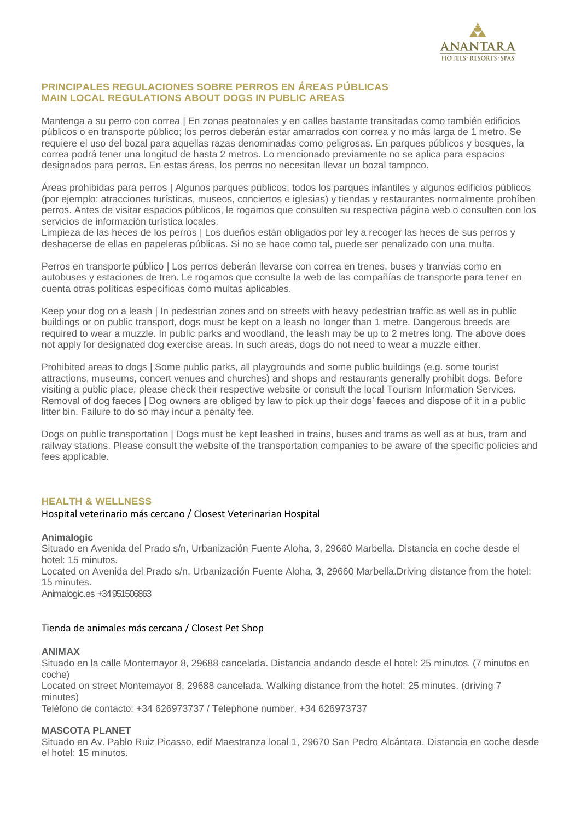

# **PRINCIPALES REGULACIONES SOBRE PERROS EN ÁREAS PÚBLICAS MAIN LOCAL REGULATIONS ABOUT DOGS IN PUBLIC AREAS**

Mantenga a su perro con correa | En zonas peatonales y en calles bastante transitadas como también edificios públicos o en transporte público; los perros deberán estar amarrados con correa y no más larga de 1 metro. Se requiere el uso del bozal para aquellas razas denominadas como peligrosas. En parques públicos y bosques, la correa podrá tener una longitud de hasta 2 metros. Lo mencionado previamente no se aplica para espacios designados para perros. En estas áreas, los perros no necesitan llevar un bozal tampoco.

Áreas prohibidas para perros | Algunos parques públicos, todos los parques infantiles y algunos edificios públicos (por ejemplo: atracciones turísticas, museos, conciertos e iglesias) y tiendas y restaurantes normalmente prohíben perros. Antes de visitar espacios públicos, le rogamos que consulten su respectiva página web o consulten con los servicios de información turística locales.

Limpieza de las heces de los perros | Los dueños están obligados por ley a recoger las heces de sus perros y deshacerse de ellas en papeleras públicas. Si no se hace como tal, puede ser penalizado con una multa.

Perros en transporte público | Los perros deberán llevarse con correa en trenes, buses y tranvías como en autobuses y estaciones de tren. Le rogamos que consulte la web de las compañías de transporte para tener en cuenta otras políticas específicas como multas aplicables.

Keep your dog on a leash | In pedestrian zones and on streets with heavy pedestrian traffic as well as in public buildings or on public transport, dogs must be kept on a leash no longer than 1 metre. Dangerous breeds are required to wear a muzzle. In public parks and woodland, the leash may be up to 2 metres long. The above does not apply for designated dog exercise areas. In such areas, dogs do not need to wear a muzzle either.

Prohibited areas to dogs | Some public parks, all playgrounds and some public buildings (e.g. some tourist attractions, museums, concert venues and churches) and shops and restaurants generally prohibit dogs. Before visiting a public place, please check their respective website or consult the local Tourism Information Services. Removal of dog faeces | Dog owners are obliged by law to pick up their dogs' faeces and dispose of it in a public litter bin. Failure to do so may incur a penalty fee.

Dogs on public transportation | Dogs must be kept leashed in trains, buses and trams as well as at bus, tram and railway stations. Please consult the website of the transportation companies to be aware of the specific policies and fees applicable.

#### **HEALTH & WELLNESS**

#### Hospital veterinario más cercano / Closest Veterinarian Hospital

#### **Animalogic**

Situado en Avenida del Prado s/n, Urbanización Fuente Aloha, 3, 29660 Marbella. Distancia en coche desde el hotel: 15 minutos. Located on Avenida del Prado s/n, Urbanización Fuente Aloha, 3, 29660 Marbella.Driving distance from the hotel: 15 minutes.

Animalogic.es +34 951506863

#### Tienda de animales más cercana / Closest Pet Shop

#### **ANIMAX**

Situado en la calle Montemayor 8, 29688 cancelada. Distancia andando desde el hotel: 25 minutos. (7 minutos en coche)

Located on street Montemayor 8, 29688 cancelada. Walking distance from the hotel: 25 minutes. (driving 7 minutes)

Teléfono de contacto: +34 626973737 / Telephone number. +34 626973737

# **MASCOTA PLANET**

Situado en Av. Pablo Ruiz Picasso, edif Maestranza local 1, 29670 San Pedro Alcántara. Distancia en coche desde el hotel: 15 minutos.